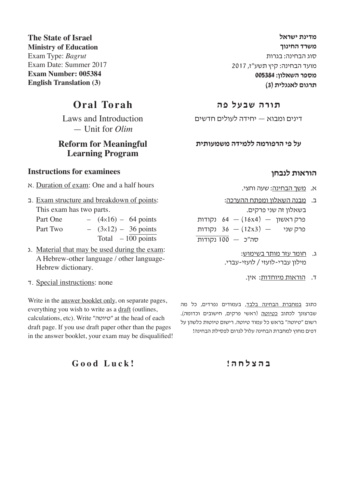**מדינת ישראל משרד החינוך** סוג הבחינה: בגרות מועד הבחינה: קיץ תשע"ז, 2017 **מספר השאלון: 005384 תרגום לאנגלית )3(**

### **תורה שבעל פה**

דינים ומבוא — יחידה לעולים חדשים

**על פי הרפורמה ללמידה משמעותית** 

#### **הוראות לנבחן**

- א. משך הבחינה: שעה וחצי.
- ב. מבנה השאלון ומפתח ההערכה: בשאלון זה שני פרקים. פרק ראשון  $(16x4)$  (16x4) - פרק ראשון פרק שני  $(12x3) - 36$  נקודות סה"כ — 100 נקודות
	- ג. חומר עזר מותר בשימוש: מילון עברי-לועזי / לועזי-עברי.
		- ד. הוראות מיוחדות: אין.

כתוב <u>במחברת הבחינה בלבד,</u> בעמודים נפרדים, כל מה שברצונך לכתוב כטיוטה (ראשי פרקים, חישובים וכדומה). רשום "טיוטה" בראש כל עמוד טיוטה. רישום טיוטות כלשהן על דפים מחוץ למחברת הבחינה עלול לגרום לפסילת הבחינה!

#### **ב ה צ ל ח ה !**

**The State of Israel Ministry of Education** Exam Type: *Bagrut* Exam Date: Summer 2017 **Exam Number: 005384 English Translation (3)**

## **Oral Torah**

Laws and Introduction — Unit for *Olim*

## **Reform for Meaningful Learning Program**

#### **Instructions for examinees**

- א. Duration of exam: One and a half hours
- ב. Exam structure and breakdown of points: This exam has two parts. Part One  $(4 \times 16) - 64$  points Part Two  $(3x12) - 36$  points Total  $-100$  points
- ג. Material that may be used during the exam: A Hebrew-other language / other language-Hebrew dictionary.
- ד. Special instructions: none

Write in the **answer** booklet only, on separate pages, everything you wish to write as a draft (outlines, calculations, etc). Write "טיוטה "at the head of each draft page. If you use draft paper other than the pages in the answer booklet, your exam may be disqualified!

**Good Luck!**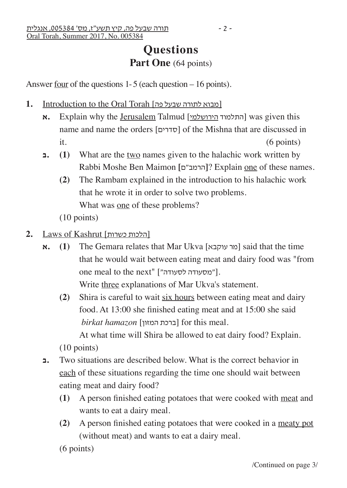Answer four of the questions 1- 5 (each question – 16 points).

- 1. Introduction to the Oral Torah [פובוא לתורה שבעל פה]
	- **א.** Explain why the <u>Jerusalem</u> Talmud [התלמוד <u>הירושלמי</u>] was given this name and name the orders [סדרים] of the Mishna that are discussed in  $it.$  (6 points)
	- **ב.) 1 (**What are the two names given to the halachic work written by Rabbi Moshe Ben Maimon **[**ם"הרמב ?**[**Explain one of these names.
		- **(2)** The Rambam explained in the introduction to his halachic work that he wrote it in order to solve two problems. What was one of these problems?
		- (10 points)
- **2.** Laws of Kashrut [כשרות הלכות[
	- **א.** (1) The Gemara relates that Mar Ukva [עול עוקבא] said that the time that he would wait between eating meat and dairy food was "from one meal to the next" ["מסעודה לסעודה"]. Write three explanations of Mar Ukva's statement.
		- **(2)** Shira is careful to wait six hours between eating meat and dairy food. At 13:00 she finished eating meat and at 15:00 she said  $birkat$  *hamazon* [ברכת המזון] for this meal.

At what time will Shira be allowed to eat dairy food? Explain.

(10 points)

- **ב.** Two situations are described below. What is the correct behavior in each of these situations regarding the time one should wait between eating meat and dairy food?
	- **(1)** A person finished eating potatoes that were cooked with meat and wants to eat a dairy meal.
	- **(2)** A person finished eating potatoes that were cooked in a meaty pot (without meat) and wants to eat a dairy meal.
	- (6 points)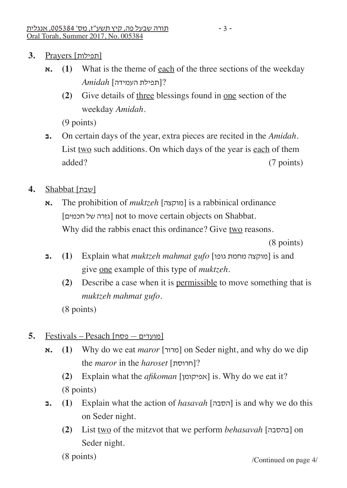- [תפילות] Prayers **3.**
	- $\mathbf{x}$ **. (1) What is the theme of each of the three sections of the weekday** ?[תפילת העמידה] *Amidah*
		- **(2)** Give details of three blessings found in one section of the weekday *Amidah*.

(9 points)

- **ב.** On certain days of the year, extra pieces are recited in the *Amidah*. List two such additions. On which days of the year is each of them added? (7 points)
- [שבת] Shabbat **4.**
	- **א. The prohibition of** *muktzeh* [מוקצה] is a rabbinical ordinance [גזרה של חכמים] not to move certain objects on Shabbat. Why did the rabbis enact this ordinance? Give two reasons.

(8 points)

- **ב.) 1 (**Explain what *muktzeh mahmat gufo* [גופו מחמת מוקצה [is and give one example of this type of *muktzeh.*
	- **(2)** Describe a case when it is permissible to move something that is *muktzeh mahmat gufo*.

(8 points)

- [מועדים פסח] Pesach Festivals **5.**
	- **א.** (1) Why do we eat *maror* [מרור | on Seder night, and why do we dip the *maror* in the *haroset* [חרוסת?[

 **(2)** Explain what the *afikoman* [אפיקומן [is. Why do we eat it? (8 points)

- **ב.) 1 (**Explain what the action of *hasavah* [הסבה [is and why we do this on Seder night.
	- **(2)** List two of the mitzvot that we perform *behasavah* [בהסבה [on Seder night.